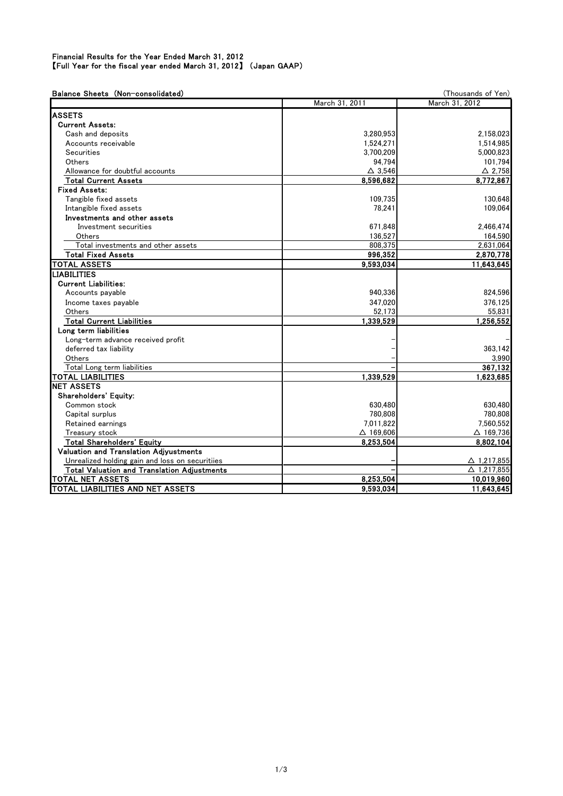## Financial Results for the Year Ended March 31, 2012 【Full Year for the fiscal year ended March 31, 2012】 (Japan GAAP)

| Balance Sheets (Non-consolidated)                  | (Thousands of Yen)  |                    |
|----------------------------------------------------|---------------------|--------------------|
|                                                    | March 31, 2011      | March 31, 2012     |
| <b>ASSETS</b>                                      |                     |                    |
| <b>Current Assets:</b>                             |                     |                    |
| Cash and deposits                                  | 3,280,953           | 2,158,023          |
| Accounts receivable                                | 1,524,271           | 1,514,985          |
| Securities                                         | 3,700,209           | 5,000,823          |
| Others                                             | 94.794              | 101,794            |
| Allowance for doubtful accounts                    | $\triangle$ 3.546   | $\triangle$ 2.758  |
| <b>Total Current Assets</b>                        | 8.596.682           | 8,772,867          |
| <b>Fixed Assets:</b>                               |                     |                    |
| Tangible fixed assets                              | 109,735             | 130.648            |
| Intangible fixed assets                            | 78,241              | 109.064            |
| Investments and other assets                       |                     |                    |
| Investment securities                              | 671,848             | 2,466,474          |
| Others                                             | 136,527             | 164,590            |
| Total investments and other assets                 | 808,375             | 2,631,064          |
| <b>Total Fixed Assets</b>                          | 996,352             | 2,870,778          |
| <b>TOTAL ASSETS</b>                                | 9,593,034           | 11,643,645         |
| <b>LIABILITIES</b>                                 |                     |                    |
| <b>Current Liabilities:</b>                        |                     |                    |
| Accounts payable                                   | 940.336             | 824.596            |
| Income taxes payable                               | 347.020             | 376.125            |
| Others                                             | 52,173              | 55,831             |
| <b>Total Current Liabilities</b>                   | 1.339.529           | 1,256,552          |
| Long term liabilities                              |                     |                    |
| Long-term advance received profit                  |                     |                    |
| deferred tax liability                             |                     | 363,142            |
| Others                                             |                     | 3,990              |
| Total Long term liabilities                        |                     | 367.132            |
| <b>TOTAL LIABILITIES</b>                           | 1.339.529           | 1.623.685          |
| <b>NET ASSETS</b>                                  |                     |                    |
| Shareholders' Equity:                              |                     |                    |
| Common stock                                       | 630,480             | 630,480            |
| Capital surplus                                    | 780,808             | 780,808            |
| Retained earnings                                  | 7,011,822           | 7.560.552          |
| Treasury stock                                     | $\triangle$ 169,606 | $\Delta$ 169,736   |
| <b>Total Shareholders' Equity</b>                  | 8.253.504           | 8,802,104          |
| Valuation and Translation Adivustments             |                     |                    |
| Unrealized holding gain and loss on securitiies    |                     | △ 1,217,855        |
| <b>Total Valuation and Translation Adjustments</b> |                     | $\Delta$ 1,217,855 |
| <b>TOTAL NET ASSETS</b>                            | 8,253,504           | 10,019,960         |
| TOTAL LIABILITIES AND NET ASSETS                   | 9,593,034           | 11,643,645         |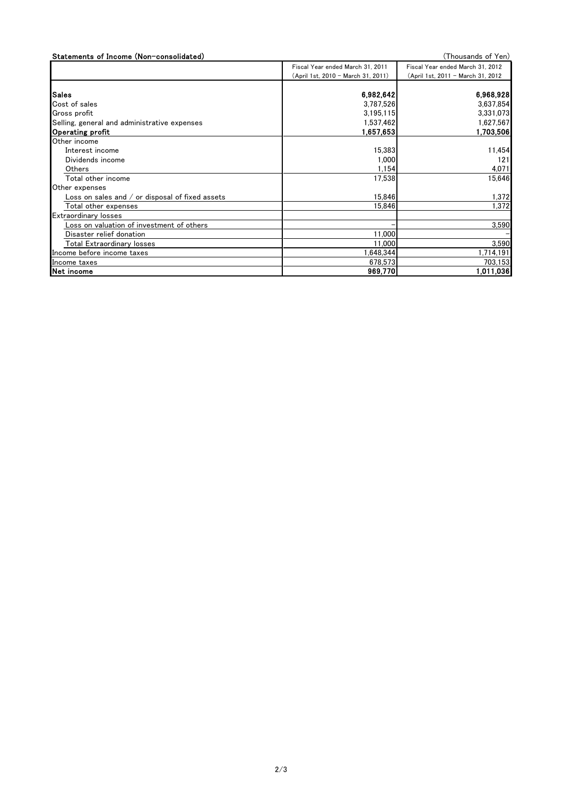| Statements of Income (Non-consolidated)           |                                    | (Thousands of Yen)                |
|---------------------------------------------------|------------------------------------|-----------------------------------|
|                                                   | Fiscal Year ended March 31, 2011   | Fiscal Year ended March 31, 2012  |
|                                                   | (April 1st, 2010 - March 31, 2011) | (April 1st, 2011 - March 31, 2012 |
|                                                   |                                    |                                   |
| <b>Sales</b>                                      | 6,982,642                          | 6,968,928                         |
| Cost of sales                                     | 3,787,526                          | 3,637,854                         |
| Gross profit                                      | 3,195,115                          | 3,331,073                         |
| Selling, general and administrative expenses      | 1,537,462                          | 1,627,567                         |
| Operating profit                                  | 1,657,653                          | 1,703,506                         |
| Other income                                      |                                    |                                   |
| Interest income                                   | 15,383                             | 11,454                            |
| Dividends income                                  | 1.000                              | 121                               |
| Others                                            | 1,154                              | 4,071                             |
| Total other income                                | 17,538                             | 15,646                            |
| Other expenses                                    |                                    |                                   |
| Loss on sales and $/$ or disposal of fixed assets | 15.846                             | 1,372                             |
| Total other expenses                              | 15,846                             | 1,372                             |
| <b>Extraordinary losses</b>                       |                                    |                                   |
| Loss on valuation of investment of others         |                                    | 3,590                             |
| Disaster relief donation                          | 11,000                             |                                   |
| Total Extraordinary losses                        | 11,000                             | 3,590                             |
| Income before income taxes                        | 648,344                            | 1,714,191                         |
| Income taxes                                      | 678,573                            | 703,153                           |
| Net income                                        | 969,770                            | 1,011,036                         |